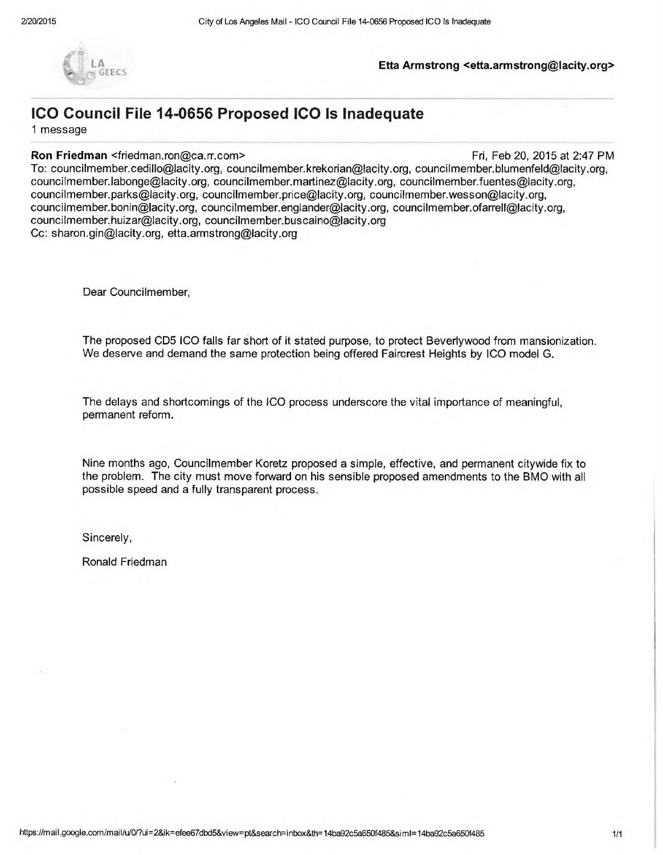

#### **LA Etta Armstrong [<etta.armstrong@lacity.org](mailto:etta.armstrong@lacity.org)>**

# **ICO Council File 14-0656 Proposed ICO Is Inadequate**

<sup>1</sup> message

#### **Ron Friedman** <[friedman.ron@ca.rr.com>](mailto:friedman.ron@ca.rr.com) Friedman <friedman.ron@ca.rr.com> Friedman

To: [councilmember.cedillo@lacity.org](mailto:councilmember.cedillo@lacity.org), [councilmember.krekorian@lacity.org](mailto:councilmember.krekorian@lacity.org), [councilmember.blumenfeld@lacity.org](mailto:councilmember.blumenfeld@lacity.org), [councilmember.labonge@lacity.org](mailto:councilmember.labonge@lacity.org), [councilmember.martinez@lacity.org,](mailto:councilmember.martinez@lacity.org) [councilmember.fuentes@lacity.org](mailto:councilmember.fuentes@lacity.org), [councilmember.parks@lacity.org,](mailto:councilmember.parks@lacity.org) [councilmember.price@lacity.org,](mailto:councilmember.price@lacity.org) [councilmember.wesson@lacity.org](mailto:councilmember.wesson@lacity.org), [councilmember.bonin@lacity.org](mailto:councilmember.bonin@lacity.org), [councilmember.englander@lacity.org](mailto:councilmember.englander@lacity.org), [councilmember.ofarrell@lacity.org,](mailto:councilmember.ofarrell@lacity.org) [councilmember.huizar@lacity.org](mailto:councilmember.huizar@lacity.org), [councilmember.buscaino@lacity.org](mailto:councilmember.buscaino@lacity.org) Cc: [sharon.gin@lacity.org](mailto:sharon.gin@lacity.org), [etta.armstrong@lacity.org](mailto:etta.armstrong@lacity.org)

Dear Councilmember,

The proposed CD5 ICO falls far short of it stated purpose, to protect Beverlywood from mansionization We deserve and demand the same protection being offered Faircrest Heights by ICO model G.

The delays and shortcomings of the ICO process underscore the vital importance of meaningful, permanent reform.

Nine months ago, Councilmember Koretz proposed a simple, effective, and permanent citywide fix to the problem. The city must move forward on his sensible proposed amendments to the BMO with all possible speed and a fully transparent process.

Sincerely,

Ronald Friedman